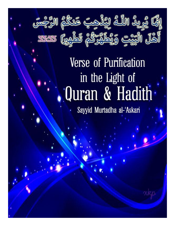

# Verse of Purification in the Light of Ouran & Hadith

Sayyid Murtadha al-'Askari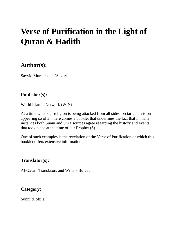# **Verse of Purification in the Light of Quran & Hadith**

# **Author(s):**

Sayyid Murtadha al-'Askari

#### **Publisher(s):**

World Islamic Network (WIN)

At a time when our religion is being attacked from all sides, sectarian division appearing so often, here comes a booklet that underlines the fact that in many instances both Sunni and Shi'a sources agree regarding the history and events that took place at the time of our Prophet (S).

One of such examples is the revelation of the Verse of Purification of which this booklet offers extensive information.

#### **Translator(s):**

Al-Qalam Translators and Writers Bureau

#### **Category:**

Sunni & Shi'a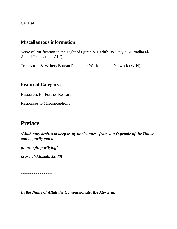General

#### **Miscellaneous information:**

Verse of Purification in the Light of Quran & Hadith By Sayyid Murtadha al-Askari Translation: Al-Qalam

Translators & Writers Bureau Publisher: World Islamic Network (WIN)

#### **Featured Category:**

Resources for Further Research

Responses to Misconceptions

# **Preface**

*'Allah only desires to keep away uncleanness from you O people of the House and to purify you a*

*(thorough) purifying'*

*(Sura al-Ahzaab, 33:33)*

\*\*\*\*\*\*\*\*\*\*\*\*\*\*\*

*In the Name of Allah the Compassionate, the Merciful.*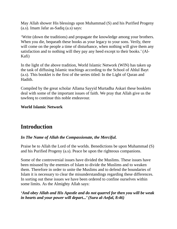May Allah shower His blessings upon Muhammad (S) and his Purified Progeny (a.s). Imam Jafar as-Sadiq (a.s) says:

'Write (down the traditions) and propagate the knowledge among your brothers. When you die, bequeath these books as your legacy to your sons. Verily, there will come on the people a time of disturbance, when nothing will give them any satisfaction and to nothing will they pay any heed except to their books.' (Al-Kafi)

In the light of the above tradition, World Islamic Network (WIN) has taken up the task of diffusing Islamic teachings according to the School of Ahlul Bayt (a.s). This booklet is the first of the series titled: In the Light of Quran and Hadith.

Compiled by the great scholar Allama Sayyid Murtadha Askari these booklets deal with some of the important issues of faith. We pray that Allah give us the tawfeeq to continue this noble endeavour.

#### **World Islamic Network**

# **Introduction**

#### *In The Name of Allah the Compassionate, the Merciful.*

Praise be to Allah the Lord of the worlds. Benedictions be upon Muhammad (S) and his Purified Progeny (a.s). Peace be upon the righteous companions.

Some of the controversial issues have divided the Muslims. These issues have been misused by the enemies of Islam to divide the Muslims and to weaken them. Therefore in order to unite the Muslims and to defend the boundaries of Islam it is necessary to clear the misunderstandings regarding these differences. In sorting out these issues we have been ordered to confine ourselves within some limits. As the Almighty Allah says:

#### *'And obey Allah and His Apostle and do not quarrel for then you will be weak in hearts and your power will depart...' (Sura al-Anfal, 8:46)*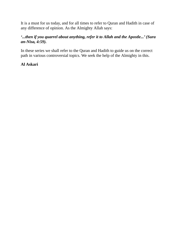It is a must for us today, and for all times to refer to Quran and Hadith in case of any difference of opinion. As the Almighty Allah says:

#### *'...then if you quarrel about anything, refer it to Allah and the Apostle...' (Sura an-Nisa, 4:59).*

In these series we shall refer to the Quran and Hadith to guide us on the correct path in various controversial topics. We seek the help of the Almighty in this.

#### **Al Askari**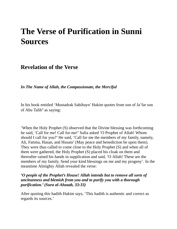# **The Verse of Purification in Sunni Sources**

## **Revelation of the Verse**

*In The Name of Allah, the Compassionate, the Merciful*

In his book entitled 'Mustadrak Sahihayn' Hakim quotes from son of Ja'far son of Abu Talib<sup>1</sup> as saying:

'When the Holy Prophet (S) observed that the Divine blessing was forthcoming he said, 'Call for me! Call for me!' Safia asked 'O Prophet of Allah! Whom should I call for you?' He said, 'Call for me the members of my family, namely, Ali, Fatima, Hasan, and Husain' (May peace and benediction be upon them). They were thus called to come close to the Holy Prophet (S) and when all of them were gathered, the Holy Prophet (S) placed his cloak on them and thereafter raised his hands in supplication and said, 'O Allah! These are the members of my family. Send your kind blessings on me and my progeny'. In the meantime Almighty Allah revealed the verse:

#### *'O people of the Prophet's House! Allah intends but to remove all sorts of uncleanness and blemish from you and to purify you with a thorough purification.' (Sura al-Ahzaab, 33:33)*

After quoting this hadith Hakim says, 'This hadith is authentic and correct as regards its sources.'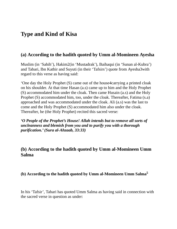# **Type and Kind of Kisa**

#### **(a) According to the hadith quoted by Umm al-Momineen Ayesha**

Muslim (in 'Sahih'), Hakim2(in 'Mustadrak'), Baihaqui (in 'Sunan al-Kubra') and Tabari, Ibn Kathir and Suyuti (in their 'Tafsirs') quote from Ayesha3with regard to this verse as having said:

'One day the Holy Prophet (S) came out of the house4carrying a printed cloak on his shoulder. At that time Hasan (a.s) came up to him and the Holy Prophet (S) accommodated him under the cloak. Then came Husain (a.s) and the Holy Prophet (S) accommodated him, too, under the cloak. Thereafter, Fatima (s.a) approached and was accommodated under the cloak. Ali (a.s) was the last to come and the Holy Prophet (S) accommodated him also under the cloak. Thereafter, he (the Holy Prophet) recited this sacred verse:

*'O People of the Prophet's House! Allah intends but to remove all sorts of uncleanness and blemish from you and to purify you with a thorough purification.' (Sura al-Ahzaab, 33:33)*

#### **(b) According to the hadith quoted by Umm al-Momineen Umm Salma**

#### **(b) According to the hadith quoted by Umm al-Momineen Umm Salma 5**

In his 'Tafsir', Tabari has quoted Umm Salma as having said in connection with the sacred verse in question as under: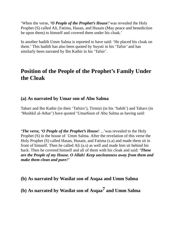'When the verse, *'O People of the Prophet's House*!'was revealed the Holy Prophet (S) called Ali, Fatima, Hasan, and Husain (May peace and benediction be upon them) to himself and covered them under his cloak.'

In another hadith Umm Salma is reported to have said: 'He placed his cloak on them.' This hadith has also been quoted by Suyuti in his 'Tafsir' and has similarly been narrated by Ibn Kathir in his 'Tafsir'.

# **Position of the People of the Prophet's Family Under the Cloak**

#### **(a) As narrated by Umar son of Abu Salma**

Tabari and Ibn Kathir (in their 'Tafsirs'), Tirmizi (in his 'Sahih') and Tahavi (in 'Mushkil al-Athar') have quoted 'Umar6son of Abu Salma as having said:

*'The verse, 'O People of the Prophet's House*! ...'was revealed to the Holy Prophet (S) in the house of Umm Salma. After the revelation of this verse the Holy Prophet (S) called Hasan, Husain, and Fatima (s.a) and made them sit in front of himself. Then he called Ali (a.s) as well and made him sit behind his back. Then he covered himself and all of them with his cloak and said: *'These are the People of my House. O Allah! Keep uncleanness away from them and make them clean and pure!'*

**(b) As narrated by Wasilat son of Asqaa and Umm Salma**

**(b) As narrated by Wasilat son of Asqaa 7 and Umm Salma**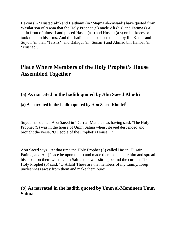Hakim (in 'Mustadrak') and Haithami (in 'Majma al-Zawaid') have quoted from Wasilat son of Asqaa that the Holy Prophet (S) made Ali (a.s) and Fatima (s.a) sit in front of himself and placed Hasan (a.s) and Husain (a.s) on his knees or took them in his arms. And this hadith had also been quoted by Ibn Kathir and Suyuti (in their 'Tafsirs') and Bahiqui (in 'Sunan') and Ahmad bin Hanbal (in 'Musnad').

# **Place Where Members of the Holy Prophet's House Assembled Together**

### **(a) As narrated in the hadith quoted by Abu Saeed Khudri**

#### **(a) As narrated in the hadith quoted by Abu Saeed Khudri 8**

Suyuti has quoted Abu Saeed in 'Durr al-Manthur' as having said, 'The Holy Prophet (S) was in the house of Umm Salma when Jibraeel descended and brought the verse, 'O People of the Prophet's House ...'

Abu Saeed says, 'At that time the Holy Prophet (S) called Hasan, Husain, Fatima, and Ali (Peace be upon them) and made them come near him and spread his cloak on them when Umm Salma too, was sitting behind the curtain. The Holy Prophet (S) said: 'O Allah! These are the members of my family. Keep uncleanness away from them and make them pure'.

#### **(b) As narrated in the hadith quoted by Umm al-Momineen Umm Salma**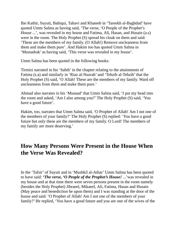Ibn Kathir, Suyuti, Bahiqui, Tahavi and Khateeb in 'Tareekh al-Baghdad' have quoted Umm Salma as having said, 'The verse, 'O People of the Prophet's House ...', was revealed in my house and Fatima, Ali, Hasan, and Husain (a.s) were in the room. The Holy Prophet (S) spread his cloak on them and said: 'These are the members of my family. (O Allah!) Remove uncleanness from them and make them pure'. And Hakim too has quoted Umm Salma in 'Mustadrak' as having said, 'This verse was revealed in my house'.

Umm Salma has been quoted in the following books:

Tirmizi narrated in his 'Sahih' in the chapter relating to the attainments of Fatima (s.a) and similarly in 'Riaz al-Nuzrah' and 'Tehzib al-Tehzib' that the Holy Prophet (S) said, 'O Allah! These are the members of my family. Ward off uncleanness from them and make them pure.'

Ahmad also narrates in his 'Musnad' that Umm Salma said, 'I put my head into the room and asked, 'Am I also among you?' The Holy Prophet (S) said, 'You have a good future'.

Hakim, too, narrates that Umm Salma said, 'O Prophet of Allah! Am I not one of the members of your family?' The Holy Prophet (S) replied: 'You have a good future but only these are the members of my family. O Lord! The members of my family are more deserving.'

# **How Many Persons Were Present in the House When the Verse Was Revealed?**

In the 'Tafsir' of Suyuti and in 'Mushkil al-Athar' Umm Salma has been quoted to have said: *'The verse, 'O People of the Prophet's House!* ...'was revealed in my house and at that time there were seven persons present in the room namely (besides the Holy Prophet) Jibraeel, Mikaeel, Ali, Fatima, Hasan and Husain (May peace and benediction be upon them) and I was standing at the door of the house and said: 'O Prophet of Allah! Am I not one of the members of your family?' He replied, 'You have a good future and you are one of the wives of the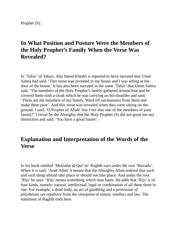Prophet (S).'

# **In What Position and Posture Were the Members of the Holy Prophet's Family When the Verse Was Revealed?**

In 'Tafsir' of Tabari, Abu Saeed Khudri is reported to have narrated that Umm Salma had said, 'This verse was revealed in my house and I was sitting at the door of the house.' It has also been narrated in the same 'Tafsir' that Umm Salma said, 'The members of the Holy Prophet's family gathered around him and he covered them with a cloak which he was carrying on his shoulder and said, 'These are the members of my family. Ward off uncleanness from them and make them pure'. And this verse was revealed when they were sitting on the ground. I said, 'O Prophet of Allah! Am I not also one of the members of your family?' I swear by the Almighty that the Holy Prophet (S) did not grant me any distinction and said: 'You have a good future'.

# **Explanation and Interpretation of the Words of the Verse**

In his book entitled 'Mufradat al-Qur'an' Raghib says under the root 'Rawada'. When it is said, 'Arad Allah' it means that the Almighty Allah ordered that such and such thing should take place or should not take place. And under the root 'Rijs' he says: 'Rijs' means something which man hates. He adds that 'Rijs' is of four kinds, namely: natural, intellectual, legal or combination of all these three in one. For example, a dead body, an act of gambling and a profession of polytheism are repulsive from the viewpoint of nature, intellect and law. The statement of Raghib ends here.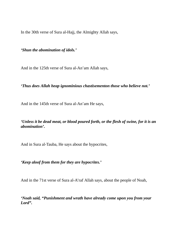In the 30th verse of Sura al-Hajj, the Almighty Allah says,

*'Shun the abomination of idols.'*

And in the 125th verse of Sura al-An'am Allah says,

*'Thus does Allah heap ignominious chastisementon those who believe not.'*

And in the 145th verse of Sura al-An'am He says,

*'Unless it be dead meat, or blood poured forth, or the flesh of swine, for it is an abomination'.*

And in Sura al-Tauba, He says about the hypocrites,

*'Keep aloof from them for they are hypocrites.'*

And in the 71st verse of Sura al-A'raf Allah says, about the people of Noah,

*'Noah said, "Punishment and wrath have already come upon you from your Lord".*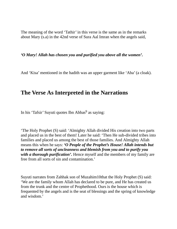The meaning of the word 'Tathir' in this verse is the same as in the remarks about Mary (s.a) in the 42nd verse of Sura Aal Imran when the angels said,

#### *'O Mary! Allah has chosen you and purified you above all the women'.*

And 'Kisa' mentioned in the hadith was an upper garment like 'Aba' (a cloak).

## **The Verse As Interpreted in the Narrations**

In his 'Tafsir' Suyuti quotes Ibn Abbas <sup>9</sup> as saying:

'The Holy Prophet (S) said: 'Almighty Allah divided His creation into two parts and placed us in the best of them! Later he said: 'Then He sub-divided tribes into families and placed us among the best of those families. And Almighty Allah means this when he says: *'O People of the Prophet's House! Allah intends but to remove all sorts of uncleanness and blemish from you and to purify you with a thorough purification'.* Hence myself and the members of my family are free from all sorts of sin and contamination.'

Suyuti narrates from Zahhak son of Muzahim10that the Holy Prophet (S) said: 'We are the family whom Allah has declared to be pure, and He has created us from the trunk and the centre of Prophethood. Ours is the house which is frequented by the angels and is the seat of blessings and the spring of knowledge and wisdom.'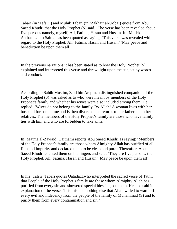Tabari (in 'Tafsir') and Muhib Tabari (in 'Zakhair al-Uqba') quote from Abu Saeed Khudri that the Holy Prophet (S) said, 'The verse has been revealed about five persons namely, myself, Ali, Fatima, Hasan and Husain. In 'Mushkil al-Aathar' Umm Salma has been quoted as saying: 'This verse was revealed with regard to the Holy Prophet, Ali, Fatima, Hasan and Husain' (May peace and benediction be upon them all).

In the previous narrations it has been stated as to how the Holy Prophet (S) explained and interpreted this verse and threw light upon the subject by words and conduct.

According to Sahih Muslim, Zaid bin Arqam, a distinguished companion of the Holy Prophet (S) was asked as to who were meant by members of the Holy Prophet's family and whether his wives were also included among them. He replied: 'Wives do not belong to the family. By Allah! A woman lives with her husband for some time and is then divorced and returns to her father and other relatives. The members of the Holy Prophet's family are those who have family ties with him and who are forbidden to take alms.'

In 'Majma al-Zawaid' Haithami reports Abu Saeed Khudri as saying: 'Members of the Holy Prophet's family are those whom Almighty Allah has purified of all filth and impurity and declared them to be clean and pure.' Thereafter, Abu Saeed Khudri counted them on his fingers and said: 'They are five persons, the Holy Prophet, Ali, Fatima, Hasan and Husain' (May peace be upon them all).

In his 'Tafsir' Tabari quotes Qatada11who interpreted the sacred verse of Tathir that People of the Holy Prophet's family are those whom Almighty Allah has purified from every sin and showered special blessings on them. He also said in explanation of the verse, 'It is this and nothing else that Allah willed to ward off every evil and indecency from the people of the family of Muhammad (S) and to purify them from every contamination and sin!'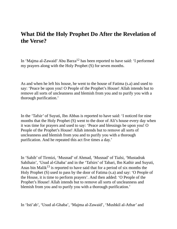# **What Did the Holy Prophet Do After the Revelation of the Verse?**

In 'Majma al-Zawaid' Abu Barza<sup>12</sup> has been reported to have said: 'I performed my prayers along with the Holy Prophet (S) for seven months.

As and when he left his house, he went to the house of Fatima (s.a) and used to say: 'Peace be upon you! O People of the Prophet's House! Allah intends but to remove all sorts of uncleanness and blemish from you and to purify you with a thorough purification.'

In the 'Tafsir' of Suyuti, Ibn Abbas is reported to have said: 'I noticed for nine months that the Holy Prophet (S) went to the door of Ali's house every day when it was time for prayers and used to say: 'Peace and blessings be upon you! O People of the Prophet's House! Allah intends but to remove all sorts of uncleanness and blemish from you and to purify you with a thorough purification. And he repeated this act five times a day.'

In 'Sahih' of Tirmizi, 'Musnad' of Ahmad, 'Musnad' of Tialsi, 'Mustadrak Sahihain', 'Usud al-Ghaba' and in the 'Tafsirs' of Tabari, Ibn Kathir and Suyuti, Anas bin Malik<sup>13</sup> is reported to have said that for a period of six months the Holy Prophet (S) used to pass by the door of Fatima (s.a) and say: 'O People of the House, it is time to perform prayers'. And then added: 'O People of the Prophet's House! Allah intends but to remove all sorts of uncleanness and blemish from you and to purify you with a thorough purification.'

In 'Isti'ab', 'Usud al-Ghaba', 'Majma al-Zawaid', 'Mushkil al-Athar' and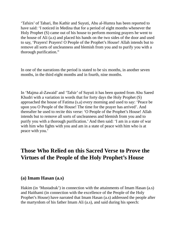'Tafsirs' of Tabari, Ibn Kathir and Suyuti, Abu al-Humra has been reported to have said: 'I noticed in Medina that for a period of eight months whenever the Holy Prophet (S) came out of his house to perform morning prayers he went to the house of Ali (a.s) and placed his hands on the two sides of the door and used to say, 'Prayers! Prayers! O People of the Prophet's House! Allah intends but to remove all sorts of uncleanness and blemish from you and to purify you with a thorough purification."

In one of the narrations the period is stated to be six months, in another seven months, in the third eight months and in fourth, nine months.

In 'Majma al-Zawaid' and 'Tafsir' of Suyuti it has been quoted from Abu Saeed Khudri with a variation in words that for forty days the Holy Prophet (S) approached the house of Fatima (s.a) every morning and used to say: 'Peace be upon you O People of the House! The time for the prayer has arrived'. And thereafter he used to recite this verse: 'O People of the Prophet's House! Allah intends but to remove all sorts of uncleanness and blemish from you and to purify you with a thorough purification.' And then said: 'I am in a state of war with him who fights with you and am in a state of peace with him who is at peace with you.'

# **Those Who Relied on this Sacred Verse to Prove the Virtues of the People of the Holy Prophet's House**

#### **(a) Imam Hasan (a.s)**

Hakim (in 'Mustadrak') in connection with the attainments of Imam Hasan (a.s) and Haithami (in connection with the excellence of the People of the Holy Prophet's House) have narrated that Imam Hasan (a.s) addressed the people after the martyrdom of his father Imam Ali (a.s), and said during his speech: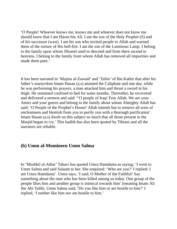'O People! Whoever knows me, knows me and whoever does not know me should know that I am Hasan bin Ali. I am the son of the Holy Prophet (S) and of his successor (wasi). I am his son who invited people to Allah and warned them of the torture of His hell-fire. I am the son of the Luminous Lamp. I belong to the family upon whom Jibraeel used to descend and from there ascend to heavens. I belong to the family from whom Allah has removed all impurities and made them pure.'

It has been narrated in 'Majma al-Zawaid' and 'Tafsir' of Ibn Kathir that after his father's martyrdom Imam Hasan (a.s) attained the Caliphate and one day, while he was performing his prayers, a man attacked him and thrust a sword in his thigh. He remained confined to bed for some months. Thereafter, he recovered and delivered a sermon and said: ''O people of Iraq! Fear Allah. We are your Amirs and your guests and belong to the family about whom Almighty Allah has said: 'O People of the Prophet's House! Allah intends but to remove all sorts of uncleanness and blemish from you to purify you with a thorough purification'. Imam Hasan (a.s) dwelt on this subject so much that all those present in the Masjid began to cry.' This hadith has also been quoted by Tibrani and all the narrators are reliable.

#### **(b) Umm al-Momineen Umm Salma**

In 'Mushkil al-Athar' Tahavi has quoted Umra Hamdania as saying: 'I went to Umm Salma and said Salaam to her. She enquired: 'Who are you?' I replied: I am Umra Hamdania'. Umra says, 'I said, O Mother of the Faithful! Say something about the man who has been killed among us today. One group of the people likes him and another group is inimical towards him' (meaning Imam Ali ibn Abi Talib). Umm Salma said, 'Do you like him or are hostile to him?' I replied, 'I neither like him nor am hostile to him.'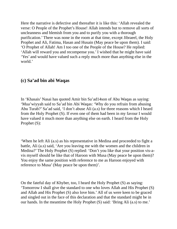Here the narrative is defective and thereafter it is like this: 'Allah revealed the verse: O People of the Prophet's House! Allah intends but to remove all sorts of uncleanness and blemish from you and to purify you with a thorough purification.' There was none in the room at that time, except Jibraeel, the Holy Prophet and Ali, Fatima, Hasan and Husain (May peace be upon them). I said: 'O Prophet of Allah! Am I too one of the People of the House? He replied: 'Allah will reward you and recompense you.' I wished that he might have said 'Yes' and would have valued such a reply much more than anything else in the world.'

#### **(c) Sa'ad bin abi Waqas**

In 'Khasais' Nasai has quoted Amir bin Sa'ad14son of Abu Waqas as saying: 'Mua'wiyyah said to Sa'ad bin Abi Waqas: 'Why do you refrain from abusing Abu Turab?' Sa'ad said, 'I don't abuse Ali (a.s) for three reasons which I heard from the Holy Prophet (S). If even one of them had been in my favour I would have valued it much more than anything else on earth. I heard from the Holy Prophet (S):

'When he left Ali (a.s) as his representative in Medina and proceeded to fight a battle, Ali (a.s) said, 'Are you leaving me with the women and the children in Medina?' The Holy Prophet (S) replied: 'Don't you like that your position vis-avis myself should be like that of Haroon with Musa (May peace be upon them)? You enjoy the same position with reference to me as Haroon enjoyed with reference to Musa' (May peace be upon them)'.

On the fateful day of Khyber, too, I heard the Holy Prophet (S) as saying: 'Tomorrow I shall give the standard to one who loves Allah and His Prophet (S) and Allah and His Prophet (S) also love him.' All of us were keen to be graced and singled out in the face of this declaration and that the standard might be in our hands. In the meantime the Holy Prophet (S) said: 'Bring Ali (a.s) to me.'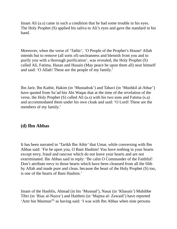Imam Ali (a.s) came in such a condition that he had some trouble in his eyes. The Holy Prophet (S) applied his saliva to Ali's eyes and gave the standard in his hand.

Moreover, when the verse of 'Tathir', 'O People of the Prophet's House! Allah intends but to remove (all sorts of) uncleanness and blemish from you and to purify you with a thorough purification', was revealed, the Holy Prophet (S) called Ali, Fatima, Hasan and Husain (May peace be upon them all) near himself and said: 'O Allah! These are the people of my family.'

Ibn Jarir, Ibn Kathir, Hakim (in 'Mustadrak') and Tahavi (in 'Mushkil al-Athar') have quoted from Sa'ad bin Abi Waqas that at the time of the revelation of the verse, the Holy Prophet (S) called Ali (a.s) with his two sons and Fatima (s.a) and accommodated them under his own cloak and said: 'O Lord! These are the members of my family.'

#### **(d) Ibn Abbas**

It has been narrated in 'Tarikh Ibn Athir' that Umar, while conversing with Ibn Abbas said: 'Fie be upon you, O Bani Hashim! You have nothing in your hearts except envy, fraud and rancour which do not leave your hearts and are not exterminated. Ibn Abbas said in reply: 'Be calm O Commander of the Faithful! Don't attribute envy to those hearts which have been cleansed from all the filth by Allah and made pure and clean, because the heart of the Holy Prophet (S) too, is one of the hearts of Bani Hashim.'

Imam of the Hanblis, Ahmad (in his 'Musnad'), Nasai (in 'Khasais') Muhibbe Tibri (in 'Riaz al-Nuzra') and Haithmi (in 'Majma al- Zawaid') have reported 'Amr bin Maimun<sup>15</sup> as having said: 'I was with Ibn Abbas when nine persons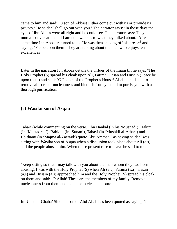came to him and said: 'O son of Abbas! Either come out with us or provide us privacy.' He said: 'I shall go out with you.' The narrator says: 'In those days the eyes of Ibn Abbas were all right and he could see. The narrator says: They had mutual conversation and I am not aware as to what they talked about.' After some time Ibn Abbas returned to us. He was then shaking off his dress $^{16}$  and saying: 'Fie be upon them! They are talking about the man who enjoys ten excellences'.

Later in the narration Ibn Abbas details the virtues of the Imam till he says: 'The Holy Prophet (S) spread his cloak upon Ali, Fatima, Hasan and Husain (Peace be upon them) and said: 'O People of the Prophet's House! Allah intends but to remove all sorts of uncleanness and blemish from you and to purify you with a thorough purification.'

#### **(e) Wasilat son of Asqaa**

Tabari (while commenting on the verse), Ibn Hanbal (in his 'Musnad'), Hakim (in 'Mustadrak'), Bahiqui (in 'Sunan'), Tahavi (in 'Mushkil al-Athar') and Haithami (in 'Majma al-Zawaid') quote Abu Ammar<sup>17</sup> as having said: 'I was sitting with Wasilat son of Asqaa when a discussion took place about Ali (a.s) and the people abused him. When those present rose to leave he said to me:

'Keep sitting so that I may talk with you about the man whom they had been abusing. I was with the Holy Prophet (S) when Ali (a.s), Fatima (s.a), Hasan (a.s) and Husain (a.s) approached him and the Holy Prophet (S) spread his cloak on them and said: 'O Allah! These are the members of my family. Remove uncleanness from them and make them clean and pure.'

In 'Usud al-Ghaba' Shiddad son of Abd Allah has been quoted as saying: 'I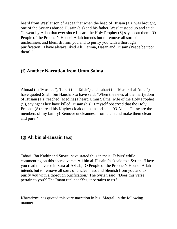heard from Wasilat son of Asqaa that when the head of Husain (a.s) was brought, one of the Syrians abused Husain (a.s) and his father. Wasilat stood up and said: 'I swear by Allah that ever since I heard the Holy Prophet (S) say about them: 'O People of the Prophet's House! Allah intends but to remove all sort of uncleanness and blemish from you and to purify you with a thorough purification', I have always liked Ali, Fatima, Hasan and Husain (Peace be upon them).'

#### **(f) Another Narration from Umm Salma**

Ahmad (in 'Musnad'), Tabari (in 'Tafsir') and Tahavi (in 'Mushkil al-Athar') have quoted Shahr bin Haushab to have said: 'When the news of the martyrdom of Husain (a.s) reached (Medina) I heard Umm Salma, wife of the Holy Prophet (S), saying: 'They have killed Husain (a.s)! I myself observed that the Holy Prophet (S) spread his Khyber cloak on them and said: 'O Allah! These are the members of my family! Remove uncleanness from them and make them clean and pure!'

### **(g) Ali bin al-Husain (a.s)**

Tabari, Ibn Kathir and Suyuti have stated thus in their 'Tafsirs' while commenting on this sacred verse: Ali bin al-Husain (a.s) said to a Syrian: 'Have you read this verse in Sura al-Azhab, 'O People of the Prophet's House! Allah intends but to remove all sorts of uncleanness and blemish from you and to purify you with a thorough purification.' The Syrian said: 'Does this verse pertain to you?' The Imam replied: 'Yes, it pertains to us.'

Khwarizmi has quoted this very narration in his 'Maqtal' in the following manner: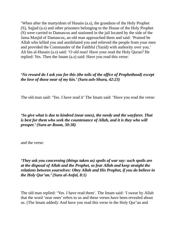'When after the martyrdom of Husain (a.s), the grandson of the Holy Prophet (S), Sajjad (a.s) and other prisoners belonging to the House of the Holy Prophet (S) were carried to Damascus and stationed in the jail located by the side of the Jama Masjid of Damascus, an old man approached them and said: 'Praised be Allah who killed you and annihilated you and relieved the people from your men and provided the Commander of the Faithful (Yazid) with authority over you.' Ali bin al-Husain (a.s) said: 'O old man! Have your read the Holy Quran? He replied: Yes. Then the Imam (a.s) said: Have you read this verse:

#### *'No reward do I ask you for this (the toils of the office of Prophethood) except the love of those near of my kin.' (Sura ash-Shura, 42:23)*

The old man said: 'Yes. I have read it' The Imam said: 'Have you read the verse:

*'So give what is due to kindred (near ones), the needy and the wayfarer. That is best for them who seek the countenance of Allah, and it is they who will prosper.' (Sura ar-Room, 30:38)*

and the verse:

*'They ask you concerning (things taken as) spoils of war say: such spoils are at the disposal of Allah and the Prophet, so fear Allah and keep straight the relations between yourselves: Obey Allah and His Prophet, if you do believe in the Holy Qur'an.' (Sura al-Anfal, 8:1)*

The old man replied: 'Yes. I have read them'. The Imam said: 'I swear by Allah that the word 'near ones' refers to us and these verses have been revealed about us. (The Imam added): And have you read this verse in the Holy Qur'an and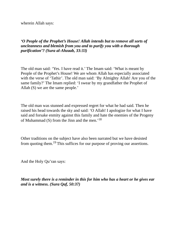wherein Allah says:

#### *'O People of the Prophet's House! Allah intends but to remove all sorts of uncleanness and blemish from you and to purify you with a thorough purification'? (Sura al-Ahzaab, 33:33)*

The old man said: 'Yes. I have read it.' The Imam said: 'What is meant by People of the Prophet's House! We are whom Allah has especially associated with the verse of 'Tathir'. The old man said: 'By Almighty Allah! Are you of the same family?' The Imam replied: 'I swear by my grandfather the Prophet of Allah (S) we are the same people.'

The old man was stunned and expressed regret for what he had said. Then he raised his head towards the sky and said: 'O Allah! I apologize for what I have said and forsake enmity against this family and hate the enemies of the Progeny of Muhammad (S) from the Jinn and the men.' $18$ 

Other traditions on the subject have also been narrated but we have desisted from quoting them.<sup>19</sup> This suffices for our purpose of proving our assertions.

And the Holy Qu'ran says:

*Most surely there is a reminder in this for him who has a heart or he gives ear and is a witness. (Sura Qaf, 50:37)*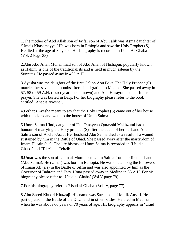1.The mother of Abd Allah son of Ja'far son of Abu Talib was Asma daughter of 'Umais Khasamayya.' He was born in Ethiopia and saw the Holy Prophet (S). He died at the age of 80 years. His biography is recorded in Usud Al-Ghaba (Vol. 2 Page 33)

 $\mathcal{L} = \{ \mathcal{L} = \{ \mathcal{L} = \mathcal{L} \} \cup \{ \mathcal{L} = \{ \mathcal{L} = \mathcal{L} \} \cup \{ \mathcal{L} = \{ \mathcal{L} = \mathcal{L} = \mathcal{L} \} \cup \{ \mathcal{L} = \{ \mathcal{L} = \mathcal{L} = \mathcal{L} = \mathcal{L} = \mathcal{L} = \mathcal{L} \} \cup \{ \mathcal{L} = \{ \mathcal{L} = \mathcal{L} = \mathcal{L} = \mathcal{L} = \mathcal{L} = \mathcal{L} \} \cup \{ \mathcal{L} = \$ 

2.Abu Abd Allah Muhammad son of Abd Allah of Nishapur, popularly known as Hakim, is one of the traditionalists and is held in much esteem by the Sunnites. He passed away in 405 A.H.

3.Ayesha was the daughter of the first Caliph Abu Bakr. The Holy Prophet (S) married her seventeen months after his migration to Medina. She passed away in 57, 58 or 59 A.H. (exact year is not known) and Abu Hurayrah led her funeral prayer. She was buried in Baqi. For her biography please refer to the book entitled 'Ahadis Ayesha'.

4.Perhaps Ayesha meant to say that the Holy Prophet (S) came out of her house with the cloak and went to the house of Umm Salma.

5.Umm Salma Hind, daughter of Ubi Omayyah Qurayshi Makhzumi had the honour of marrying the Holy prophet (S) after the death of her husband Abu Salma son of Abd al-Asad. Her husband Abu Salma died as a result of a wound sustained by him in the Battle of Ohad. She passed away after the martyrdom of Imam Husain (a.s). The life history of Umm Salma is recorded in 'Usud al-Ghaba' and 'Tehzib al-Tehzib'.

6.Umar was the son of Umm al-Momineen Umm Salma from her first husband (Abu Salma). He (Umar) was born in Ethiopia. He was one among the followers of Imam Ali (a.s) in the Battle of Siffin and was also appointed by him as the Governor of Bahrain and Fars. Umar passed away in Medina in 83 A.H. For his biography please refer to 'Usud al-Ghaba' (Vol.V page 79).

7.For his biography refer to 'Usud al-Ghaba' (Vol. V, page 77).

8.Abu Saeed Khudri Khazraji. His name was Saeed son of Malik Ansari. He participated in the Battle of the Ditch and in other battles. He died in Medina when he was above 60 years or 70 years of age. His biography appears in 'Usud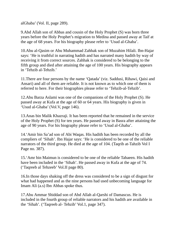alGhaba' (Vol. II, page 289).

9.Abd Allah son of Abbas and cousin of the Holy Prophet (S) was born three years before the Holy Prophet's migration to Medina and passed away at Taif at the age of 68 years. For his biography please refer to 'Usud al-Ghaba'.

10.Abu al-Qasim or Abu Muhammad Zahhak son of Muzahim Hilali. Ibn-Hajar says: 'He is truthful in narrating hadith and has narrated many hadith by way of receiving it from correct sources. Zahhak is considered to be belonging to the fifth group and died after attaining the age of 100 years. His biography appears in 'Tehzib al-Tehzib.'

11.There are four persons by the name 'Qatada' (viz. Saddusi, Rihawi, Qaisi and Ansari) and all of them are reliable. It is not known as to which one of them is referred to here. For their biographies please refer to 'Tehzib-al-Tehzib'.

12.Abu Barza Aslami was one of the companions of the Holy Prophet (S). He passed away at Kufa at the age of 60 or 64 years. His biography is given in 'Usud al-Ghaba' (Vol.V, page 146).

13.Anas bin Malik Khazraji. It has been reported that he remained in the service of the Holy Prophet (S) for ten years. He passed away in Basra after attaining the age of 90 years. For his biography please refer to 'Usud al-Ghaba'.

14.'Amir bin Sa'ad son of Abi Waqas. His hadith has been recorded by all the compliers of 'Sihah'. Ibn Hajar says: 'He is considered to be one of the reliable narrators of the third group. He died at the age of 104. (Taqrib at-Tahzib Vol I Page no. 387).

15.'Amr bin Maimun is considered to be one of the reliable Tabaeen. His hadith have been included in the 'Sihah'. He passed away in Kufa at the age of 74. ('Taqreeb al Tehzeeb' Vol.II page 80).

16.In those days shaking off the dress was considered to be a sign of disgust for what had happened and as the nine persons had used unbecoming language for Imam Ali (a.s) Ibn Abbas spoke thus.

17.Abu Ammar Shiddad son of Abd Allah al-Qarshi of Damascus. He is included in the fourth group of reliable narrators and his hadith are available in the 'Sihah'. ('Taqreeb al- Tehzib' Vol.1, page 347).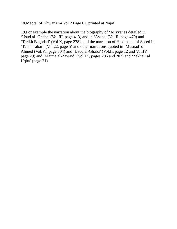18.Maqtal of Khwarizmi Vol 2 Page 61, printed at Najaf.

19.For example the narration about the biography of 'Atiyya' as detailed in 'Usud al- Ghaba' (Vol.III, page 413) and in 'Asaba' (Vol.II, page 479) and 'Tarikh Baghdad' (Vol.X, page 278), and the narration of Hakim son of Saeed in 'Tafsir Tabari' (Vol.22, page 5) and other narrations quoted in 'Musnad' of Ahmed (Vol.VI, page 304) and 'Usud al-Ghaba' (Vol.II, page 12 and Vol.IV, page 29) and 'Majma al-Zawaid' (Vol.IX, pages 206 and 207) and 'Zakhair al Uqba' (page 21).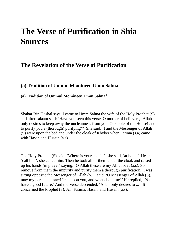# **The Verse of Purification in Shia Sources**

# **The Revelation of the Verse of Purification**

#### **(a) Tradition of Ummul Momineen Umm Salma**

#### **(a) Tradition of Ummul Momineen Umm Salma 1**

Shahar Bin Hoshal says: I came to Umm Salma the wife of the Holy Prophet (S) and after salaam said: 'Have you seen this verse, O mother of believers, 'Allah only desires to keep away the uncleanness from you, O people of the House! and to purify you a (thorough) purifying'?' She said: 'I and the Messenger of Allah (S) were upon the bed and under the cloak of Khyber when Fatima (s.a) came with Hasan and Husain (a.s).

The Holy Prophet (S) said: 'Where is your cousin?'she said, 'at home'. He said: 'call him', she called him. Then he took all of them under the cloak and raised up his hands (in prayer) saying: 'O Allah these are my Ahlul bayt (a.s). So remove from them the impurity and purify them a thorough purification.' I was sitting opposite the Messenger of Allah (S). I said, 'O Messenger of Allah (S), may my parents be sacrificed upon you, and what about me?' He replied, 'You have a good future.' And the Verse descended, 'Allah only desires to ...'. It concerned the Prophet (S), Ali, Fatima, Hasan, and Husain (a.s).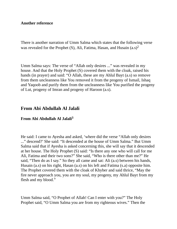#### **Another reference**

There is another narration of Umm Salma which states that the following verse was revealed for the Prophet (S), Ali, Fatima, Hasan, and Husain  $(a.s)^2$ 

Umm Salma says: The verse of "Allah only desires ..." was revealed in my house. And that the Holy Prophet (S) covered them with the cloak, raised his hands (in prayer) and said: "O Allah, these are my Ahlul Bayt (a.s) so remove from them uncleanness like You removed it from the progeny of Ismail, Ishaq and Yaqoob and purify them from the uncleanness like You purified the progeny of Lut, progeny of Imran and progeny of Haroon (a.s).

#### **From Abi Abdullah Al Jalali**

#### **From Abi Abdullah Al Jalali 3**

He said: I came to Ayesha and asked, 'where did the verse "Allah only desires ..." descend?' She said: "It descended at the house of Umm Salma." But Umm Salma said that if Ayesha is asked concerning this, she will say that it descended at her house. The Holy Prophet (S) said: "Is there any one who will call for me Ali, Fatima and their two sons?" She said, "Who is there other than me?" He said, "Then do as I say." So they all came and sat: Ali (a.s) between his hands, Husain (a.s) on his right, Hasan (a.s) on his left and Fatima (s.a) opposite him. The Prophet covered them with the cloak of Khyber and said thrice, "May the fire never approach you, you are my soul, my progeny, my Ahlul Bayt from my flesh and my blood."

Umm Salma said, "O Prophet of Allah! Can I enter with you?" The Holy Prophet said, "O Umm Salma you are from my righteous wives." Then the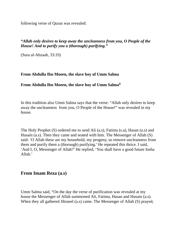following verse of Quran was revealed:

#### *"Allah only desires to keep away the uncleanness from you, O People of the House! And to purify you a (thorough) purifying."*

(Sura al-Ahzaab, 33:33)

#### **From Abdulla Ibn Moeen, the slave boy of Umm Salma**

#### **From Abdulla Ibn Moeen, the slave boy of Umm Salma 4**

In this tradition also Umm Salma says that the verse: "Allah only desires to keep away the uncleanness from you, O People of the House!" was revealed in my house.

The Holy Prophet (S) ordered me to send Ali (a.s), Fatima (s.a), Hasan (a.s) and Husain (a.s). Then they came and seated with him. The Messenger of Allah (S) said: 'O Allah these are my household, my progeny, so remove uncleanness from them and purify them a (thorough) purifying.' He repeated this thrice. I said, 'And I, O, Messenger of Allah?' He replied, 'You shall have a good future Insha Allah.'

#### **From Imam Reza (a.s)**

Umm Salma said, "On the day the verse of purification was revealed at my house the Messenger of Allah summoned Ali, Fatima, Hasan and Husain (a.s). When they all gathered Jibraeel (a.s) came. The Messenger of Allah (S) prayed,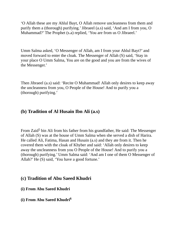'O Allah these are my Ahlul Bayt, O Allah remove uncleanness from them and purify them a (thorough) purifying.'Jibraeel (a.s) said, 'And am I from you, O Muhammad?' The Prophet (s.a) replied, 'You are from us O Jibraeel.'

Umm Salma asked, 'O Messenger of Allah, am I from your Ahlul Bayt?' and moved forward to enter the cloak. The Messenger of Allah (S) said, 'Stay in your place O Umm Salma, You are on the good and you are from the wives of the Messenger.'

Then Jibraeel (a.s) said: 'Recite O Muhammad! Allah only desires to keep away the uncleanness from you, O People of the House! And to purify you a (thorough) purifying.'

#### **(b) Tradition of Al Husain Ibn Ali (a.s)**

From Zaid<sup>5</sup> bin Ali from his father from his grandfather, He said: The Messenger of Allah (S) was at the house of Umm Salma when she served a dish of Harira. He called Ali, Fatima, Hasan and Husain (a.s) and they ate from it. Then he covered them with the cloak of Khyber and said: 'Allah only desires to keep away the uncleanness from you O People of the House! And to purify you a (thorough) purifying.' Umm Salma said: 'And am I one of them O Messenger of Allah?' He (S) said, 'You have a good fortune.'

#### **(c) Tradition of Abu Saeed Khudri**

- **(i) From Abu Saeed Khudri**
- **(i) From Abu Saeed Khudri 6**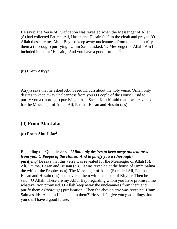He says: The Verse of Purification was revealed when the Messenger of Allah (S) had collected Fatima, Ali, Hasan and Husain (a.s) in the cloak and prayed 'O Allah these are my Ahlul Bayt so keep away uncleanness from them and purify them a (thorough) purifying.' Umm Salma asked, 'O Messenger of Allah! Am I included in them?' He said, 'And you have a good fortune.'<sup>7</sup>

#### **(ii) From Atiyya**

Atiyya says that he asked Abu Saeed Khudri about the holy verse: 'Allah only desires to keep away uncleanness from you O People of the House! And to purify you a (thorough) purifying." Abu Saeed Khudri said that it was revealed for the Messenger of Allah, Ali, Fatima, Hasan and Husain (a.s).

#### **(d) From Abu Jafar**

#### **(d) From Abu Jafar 8**

Regarding the Quranic verse, *'Allah only desires to keep away uncleanness from you, O People of the House! And to purify you a (thorough) purifying'* he says that this verse was revealed for the Messenger of Allah (S), Ali, Fatima, Hasan and Husain (a.s). It was revealed at the house of Umm Salma the wife of the Prophet (s.a). The Messenger of Allah (S) called Ali, Fatima, Hasan and Husain (a.s) and covered them with the cloak of Khyber. Then he said, 'O Allah! These are my Ahlul Bayt regarding whom you have promised me whatever you promised. O Allah keep away the uncleanness from them and purify them a (thorough) purification.' Then the above verse was revealed. Umm Salma said: 'And am I included in them?' He said, 'I give you glad tidings that you shall have a good future.'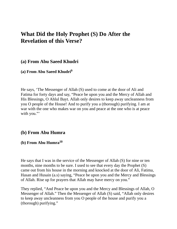# **What Did the Holy Prophet (S) Do After the Revelation of this Verse?**

#### **(a) From Abu Saeed Khudri**

#### **(a) From Abu Saeed Khudri 9**

He says, 'The Messenger of Allah (S) used to come at the door of Ali and Fatima for forty days and say, "Peace be upon you and the Mercy of Allah and His Blessings, O Ahlul Bayt. Allah only desires to keep away uncleanness from you O people of the House! And to purify you a (thorough) purifying. I am at war with the one who makes war on you and peace at the one who is at peace with you."

#### **(b) From Abu Humra**

#### **(b) From Abu Humra 10**

He says that I was in the service of the Messenger of Allah (S) for nine or ten months, nine months to be sure. I used to see that every day the Prophet (S) came out from his house in the morning and knocked at the door of Ali, Fatima, Hasan and Husain (a.s) saying, "Peace be upon you and the Mercy and Blessings of Allah. Rise up for prayers that Allah may have mercy on you."

They replied, "And Peace be upon you and the Mercy and Blessings of Allah, O Messenger of Allah." Then the Messenger of Allah (S) said, "Allah only desires to keep away uncleanness from you O people of the house and purify you a (thorough) purifying."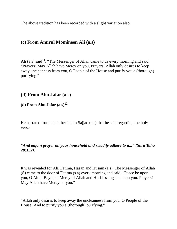The above tradition has been recorded with a slight variation also.

#### **(c) From Amirul Momineen Ali (a.s)**

Ali (a.s) said<sup>11</sup>, "The Messenger of Allah came to us every morning and said, "Prayers! May Allah have Mercy on you, Prayers! Allah only desires to keep away uncleanness from you, O People of the House and purify you a (thorough) purifying."

#### **(d) From Abu Jafar (a.s)**

#### **(d) From Abu Jafar (a.s) 12**

He narrated from his father Imam Sajjad (a.s) that he said regarding the holy verse,

#### *"And enjoin prayer on your household and steadily adhere to it..." (Sura Taha 20:132).*

It was revealed for Ali, Fatima, Hasan and Husain (a.s). The Messenger of Allah (S) came to the door of Fatima (s.a) every morning and said, "Peace be upon you, O Ahlul Bayt and Mercy of Allah and His blessings be upon you. Prayers! May Allah have Mercy on you."

"Allah only desires to keep away the uncleanness from you, O People of the House! And to purify you a (thorough) purifying."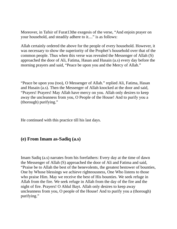Moreover, in Tafsir of Furat13the exegesis of the verse, "And enjoin prayer on your household, and steadily adhere to it...." is as follows:

Allah certainly ordered the above for the people of every household. However, it was necessary to show the superiority of the Prophet's household over that of the common people. Thus when this verse was revealed the Messenger of Allah (S) approached the door of Ali, Fatima, Hasan and Husain (a.s) every day before the morning prayers and said, "Peace be upon you and the Mercy of Allah."

"Peace be upon you (too), O Messenger of Allah." replied Ali, Fatima, Hasan and Husain (a.s). Then the Messenger of Allah knocked at the door and said, "Prayers! Prayers! May Allah have mercy on you. Allah only desires to keep away the uncleanness from you, O People of the House! And to purify you a (thorough) purifying."

He continued with this practice till his last days.

#### **(e) From Imam as-Sadiq (a.s)**

Imam Sadiq (a.s) narrates from his forefathers: Every day at the time of dawn the Messenger of Allah (S) approached the door of Ali and Fatima and said, "Praise be to Allah the best of the benevolents, the greatest bestower of bounties, One by Whose blessings we achieve righteousness, One Who listens to those who praise Him. May we receive the best of His bounties. We seek refuge in Allah from the fire. We seek refuge in Allah from the day of the fire and the night of fire. Prayers! O Ahlul Bayt. Allah only desires to keep away uncleanness from you, O people of the House! And to purify you a (thorough) purifying."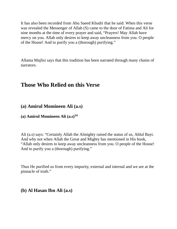It has also been recorded from Abu Saeed Khudri that he said: When this verse was revealed the Messenger of Allah (S) came to the door of Fatima and Ali for nine months at the time of every prayer and said, "Prayers! May Allah have mercy on you. Allah only desires to keep away uncleanness from you. O people of the House! And to purify you a (thorough) purifying."

Allama Majlisi says that this tradition has been narrated through many chains of narrators.

# **Those Who Relied on this Verse**

#### **(a) Amirul Momineen Ali (a.s)**

#### **(a) Amirul Momineen Ali (a.s) 14**

Ali (a.s) says: "Certainly Allah the Almighty raised the status of us, Ahlul Bayt. And why not when Allah the Great and Mighty has mentioned in His book, "Allah only desires to keep away uncleanness from you. O people of the House! And to purify you a (thorough) purifying."

Thus He purified us from every impurity, external and internal and we are at the pinnacle of truth."

#### **(b) Al Hasan Ibn Ali (a.s)**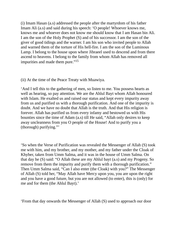(i) Imam Hasan (a.s) addressed the people after the martyrdom of his father Imam Ali (a.s) and said during his speech: 'O people! Whoever knows me, knows me and whoever does not know me should know that I am Hasan bin Ali. I am the son of the Holy Prophet (S) and of his successor. I am the son of the giver of good tidings and the warner. I am his son who invited people to Allah and warned them of the torture of His hell-fire. I am the son of the Luminous Lamp. I belong to the house upon where Jibraeel used to descend and from there ascend to heavens. I belong to the family from whom Allah has removed all impurities and made them pure."<sup>15</sup>

(ii) At the time of the Peace Treaty with Muawiya.

'And I tell this to the gathering of men, so listen to me. You possess hearts as well as hearing, so pay attention. We are the Ahlul Bayt whom Allah honoured with Islam. He exalted us and raised our status and kept every impurity away from us and purified us with a thorough purification. And one of the impurity is doubt. And we have no doubt that Allah is the truth. And that His religion is forever. Allah has purified us from every infamy and bestowed us with His bounties since the time of Adam (a.s) till He said, "Allah only desires to keep away uncleanness from you O people of the House! And to purify you a (thorough) purifying."'

'So when the Verse of Purification was revealed the Messenger of Allah (S) took me with him, and my brother, and my mother, and my father under the Cloak of Khyber, taken from Umm Salma, and it was in the house of Umm Salma. On that day he (S) said: "O Allah these are my Ahlul bayt (a.s) and my Progeny. So remove from them the impurity and purify them with a thorough purification." Then Umm Salma said, "Can I also enter (the Cloak) with you?" The Messenger of Allah (S) told her, "May Allah have Mercy upon you, you are upon the right and you have a good future, but you are not allowed (to enter), this is (only) for me and for them (the Ahlul Bayt).'

'From that day onwards the Messenger of Allah (S) used to approach our door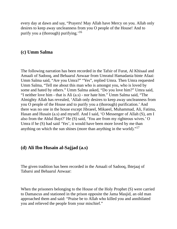every day at dawn and say, "Prayers! May Allah have Mercy on you. Allah only desires to keep away uncleanness from you O people of the House! And to purify you a (thorough) purifying.'<sup>16</sup>

#### **(c) Umm Salma**

The following narration has been recorded in the Tafsir of Furat, Al Khisaal and Amaali of Sadooq, and Behaarul Anwaar from Umratul Hamadania binte Afaai: Umm Salma said, "Are you Umra?" "Yes", replied Umra. Then Umra requested Umm Salma, "Tell me about this man who is amongst you, who is loved by some and hated by others." Umm Salma asked, "Do you love him?" Umra said, "I neither love him - that is Ali (a.s) - nor hate him." Umm Salma said, "The Almighty Allah has revealed, 'Allah only desires to keep away uncleanness from you O people of the House and to purify you a (thorough) purification.' And there was no one in the house except Jibraeel, Mikaeel, Muhammad, Ali, Fatima, Hasan and Husain (a.s) and myself. And I said, 'O Messenger of Allah (S), am I also from the Ahlul Bayt?' He (S) said, 'You are from my righteous wives.' O Umra if he (S) had said 'Yes', it would have been more loved by me than anything on which the sun shines (more than anything in the world)." $17$ 

#### **(d) Ali Ibn Husain al-Sajjad (a.s)**

The given tradition has been recorded in the Amaali of Sadooq, Ihtejaaj of Tabarsi and Behaarul Anwaar:

When the prisoners belonging to the House of the Holy Prophet (S) were carried to Damascus and stationed in the prison opposite the Jama Masjid, an old man approached them and said: "Praise be to Allah who killed you and annihilated you and relieved the people from your mischief."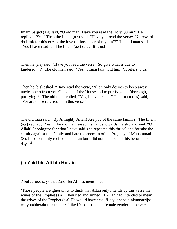Imam Sajjad (a.s) said, "O old man! Have you read the Holy Quran?" He replied, "Yes." Then the Imam (a.s) said, "Have you read the verse: 'No reward do I ask for this except the love of those near of my kin'?" The old man said, "Yes I have read it." The Imam (a.s) said, "It is us!"

Then he (a.s) said, "Have you read the verse, 'So give what is due to kindered...'?" The old man said, "Yes." Imam (a.s) told him, "It refers to us."

Then he (a.s) asked, "Have read the verse, 'Allah only desires to keep away uncleanness from you O people of the House and to purify you a (thorough) purifying'?" The old man replied, "Yes, I have read it." The Imam (a.s) said, "We are those referred to in this verse."

The old man said, "By Almighty Allah! Are you of the same family?" The Imam (a.s) replied, "Yes." The old man raised his hands towards the sky and said, "O Allah! I apologize for what I have said, (he repeated this thrice) and forsake the enmity against this family and hate the enemies of the Progeny of Muhammad (S). I had certainly recited the Quran but I did not understand this before this day." 18

#### **(e) Zaid bin Ali bin Husain**

Abul Jarood says that Zaid Ibn Ali has mentioned:

'Those people are ignorant who think that Allah only intends by this verse the wives of the Prophet (s.a). They lied and sinned. If Allah had intended to mean the wives of the Prophet (s.a) He would have said, 'Le yudheba a'nkunnarrijsa wa yutahherakunna tatheera' like He had used the female gender in the verse,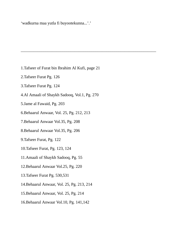'wadkurna maa yutla fi buyootekunna...'.'

1.Tafseer of Furat bin Ibrahim Al Kufi, page 21

 $\mathcal{L} = \{ \mathcal{L} = \{ \mathcal{L} = \mathcal{L} \} \cup \{ \mathcal{L} = \{ \mathcal{L} = \mathcal{L} \} \cup \{ \mathcal{L} = \{ \mathcal{L} = \mathcal{L} = \mathcal{L} \} \cup \{ \mathcal{L} = \{ \mathcal{L} = \mathcal{L} = \mathcal{L} = \mathcal{L} = \mathcal{L} \} \cup \{ \mathcal{L} = \{ \mathcal{L} = \mathcal{L} = \mathcal{L} = \mathcal{L} = \mathcal{L} = \mathcal{L} \} \cup \{ \mathcal{L} = \{ \mathcal{L}$ 

- 2.Tafseer Furat Pg. 126
- 3.Tafseer Furat Pg. 124
- 4.Al Amaali of Shaykh Sadooq, Vol.1, Pg. 270
- 5.Jame al Fawaid, Pg. 203
- 6.Behaarul Anwaar, Vol. 25, Pg. 212, 213
- 7.Behaarul Anwaar Vol.35, Pg. 208
- 8.Behaarul Anwaar Vol.35, Pg. 206
- 9.Tafseer Furat, Pg. 122
- 10.Tafseer Furat, Pg. 123, 124
- 11.Amaali of Shaykh Sadooq, Pg. 55
- 12.Behaarul Anwaar Vol.25, Pg. 220
- 13.Tafseer Furat Pg. 530,531
- 14.Behaarul Anwaar, Vol. 25, Pg. 213, 214
- 15.Behaarul Anwaar, Vol. 25, Pg. 214
- 16.Behaarul Anwaar Vol.10, Pg. 141,142